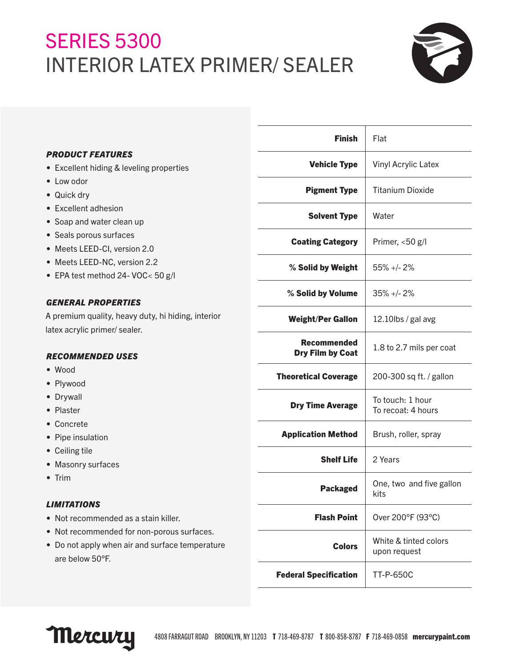# **SERIES 5300** INTERIOR LATEX PRIMER/ SEALER



|                                                                                     | <b>Finish</b>                | Flat                                   |
|-------------------------------------------------------------------------------------|------------------------------|----------------------------------------|
| <b>PRODUCT FEATURES</b>                                                             | <b>Vehicle Type</b>          | Vinyl Acrylic Latex                    |
| • Excellent hiding & leveling properties                                            |                              |                                        |
| • Low odor                                                                          | <b>Pigment Type</b>          | <b>Titanium Dioxide</b>                |
| • Quick dry                                                                         |                              |                                        |
| • Excellent adhesion                                                                | <b>Solvent Type</b>          | Water                                  |
| • Soap and water clean up                                                           |                              |                                        |
| • Seals porous surfaces                                                             | <b>Coating Category</b>      | Primer, <50 g/l                        |
| • Meets LEED-CI, version 2.0                                                        |                              |                                        |
| • Meets LEED-NC, version 2.2                                                        | % Solid by Weight            | $55\% +12\%$                           |
| • EPA test method 24- VOC< 50 g/l                                                   |                              |                                        |
|                                                                                     | % Solid by Volume            | $35\% +12\%$                           |
| <b>GENERAL PROPERTIES</b>                                                           |                              |                                        |
| A premium quality, heavy duty, hi hiding, interior<br>latex acrylic primer/ sealer. | <b>Weight/Per Gallon</b>     | 12.10lbs / gal avg                     |
|                                                                                     | <b>Recommended</b>           |                                        |
| <b>RECOMMENDED USES</b>                                                             | Dry Film by Coat             | 1.8 to 2.7 mils per coat               |
| $\bullet$ Wood                                                                      |                              |                                        |
| • Plywood                                                                           | <b>Theoretical Coverage</b>  | 200-300 sq ft. / gallon                |
| • Drywall                                                                           |                              |                                        |
| • Plaster                                                                           | <b>Dry Time Average</b>      | To touch: 1 hour<br>To recoat: 4 hours |
| • Concrete                                                                          |                              |                                        |
| • Pipe insulation                                                                   | <b>Application Method</b>    | Brush, roller, spray                   |
| • Ceiling tile                                                                      |                              |                                        |
| • Masonry surfaces                                                                  | <b>Shelf Life</b>            | 2 Years                                |
| $\bullet$ Trim                                                                      |                              |                                        |
|                                                                                     | <b>Packaged</b>              | One, two and five gallon<br>kits       |
| <b>LIMITATIONS</b>                                                                  |                              |                                        |
| • Not recommended as a stain killer.                                                | <b>Flash Point</b>           | Over 200°F (93°C)                      |
| • Not recommended for non-porous surfaces.                                          |                              |                                        |
| • Do not apply when air and surface temperature<br>are below 50°F.                  | <b>Colors</b>                | White & tinted colors<br>upon request  |
|                                                                                     | <b>Federal Specification</b> | <b>TT-P-650C</b>                       |